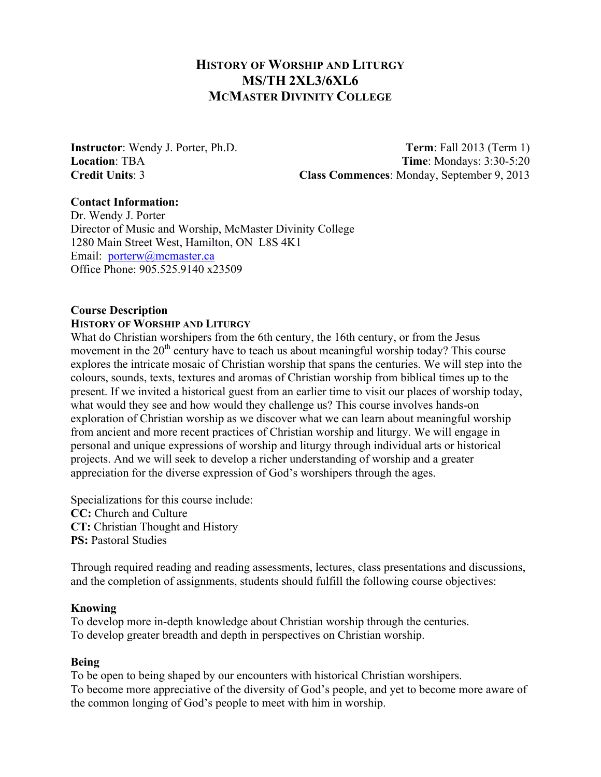# **HISTORY OF WORSHIP AND LITURGY MS/TH 2XL3/6XL6 MCMASTER DIVINITY COLLEGE**

**Instructor**: Wendy J. Porter, Ph.D. **Term**: Fall 2013 (Term 1)<br> **Location**: TBA **Time**: Mondavs: 3:30-5:20 **Time**: Mondays: 3:30-5:20 **Credit Units**: 3 **Class Commences**: Monday, September 9, 2013

## **Contact Information:**

Dr. Wendy J. Porter Director of Music and Worship, McMaster Divinity College 1280 Main Street West, Hamilton, ON L8S 4K1 Email: porterw@mcmaster.ca Office Phone: 905.525.9140 x23509

# **Course Description**

### **HISTORY OF WORSHIP AND LITURGY**

What do Christian worshipers from the 6th century, the 16th century, or from the Jesus movement in the 20<sup>th</sup> century have to teach us about meaningful worship today? This course explores the intricate mosaic of Christian worship that spans the centuries. We will step into the colours, sounds, texts, textures and aromas of Christian worship from biblical times up to the present. If we invited a historical guest from an earlier time to visit our places of worship today, what would they see and how would they challenge us? This course involves hands-on exploration of Christian worship as we discover what we can learn about meaningful worship from ancient and more recent practices of Christian worship and liturgy. We will engage in personal and unique expressions of worship and liturgy through individual arts or historical projects. And we will seek to develop a richer understanding of worship and a greater appreciation for the diverse expression of God's worshipers through the ages.

Specializations for this course include: **CC:** Church and Culture **CT:** Christian Thought and History **PS: Pastoral Studies** 

Through required reading and reading assessments, lectures, class presentations and discussions, and the completion of assignments, students should fulfill the following course objectives:

### **Knowing**

To develop more in-depth knowledge about Christian worship through the centuries. To develop greater breadth and depth in perspectives on Christian worship.

## **Being**

To be open to being shaped by our encounters with historical Christian worshipers. To become more appreciative of the diversity of God's people, and yet to become more aware of the common longing of God's people to meet with him in worship.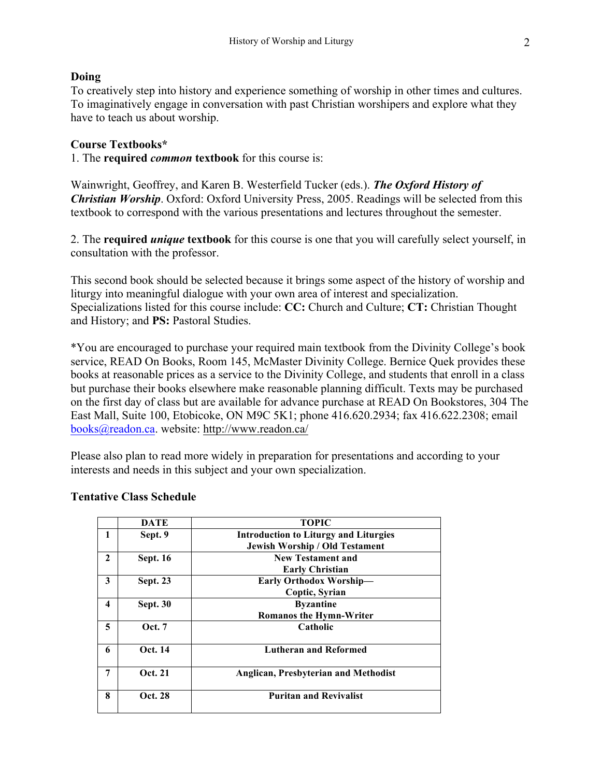## **Doing**

To creatively step into history and experience something of worship in other times and cultures. To imaginatively engage in conversation with past Christian worshipers and explore what they have to teach us about worship.

## **Course Textbooks\***

1. The **required** *common* **textbook** for this course is:

Wainwright, Geoffrey, and Karen B. Westerfield Tucker (eds.). *The Oxford History of Christian Worship*. Oxford: Oxford University Press, 2005. Readings will be selected from this textbook to correspond with the various presentations and lectures throughout the semester.

2. The **required** *unique* **textbook** for this course is one that you will carefully select yourself, in consultation with the professor.

This second book should be selected because it brings some aspect of the history of worship and liturgy into meaningful dialogue with your own area of interest and specialization. Specializations listed for this course include: **CC:** Church and Culture; **CT:** Christian Thought and History; and **PS:** Pastoral Studies.

\*You are encouraged to purchase your required main textbook from the Divinity College's book service, READ On Books, Room 145, McMaster Divinity College. Bernice Quek provides these books at reasonable prices as a service to the Divinity College, and students that enroll in a class but purchase their books elsewhere make reasonable planning difficult. Texts may be purchased on the first day of class but are available for advance purchase at READ On Bookstores, 304 The East Mall, Suite 100, Etobicoke, ON M9C 5K1; phone 416.620.2934; fax 416.622.2308; email books@readon.ca. website: http://www.readon.ca/

Please also plan to read more widely in preparation for presentations and according to your interests and needs in this subject and your own specialization.

| <b>DATE</b>     | <b>TOPIC</b>                                 |
|-----------------|----------------------------------------------|
| Sept. 9         | <b>Introduction to Liturgy and Liturgies</b> |
|                 | <b>Jewish Worship / Old Testament</b>        |
| <b>Sept. 16</b> | <b>New Testament and</b>                     |
|                 | <b>Early Christian</b>                       |
| <b>Sept. 23</b> | Early Orthodox Worship-                      |
|                 | Coptic, Syrian                               |
| <b>Sept. 30</b> | <b>Byzantine</b>                             |
|                 | <b>Romanos the Hymn-Writer</b>               |
| <b>Oct.</b> 7   | Catholic                                     |
|                 |                                              |
|                 | <b>Lutheran and Reformed</b>                 |
| Oct. 21         | <b>Anglican, Presbyterian and Methodist</b>  |
|                 |                                              |
| Oct. 28         | <b>Puritan and Revivalist</b>                |
|                 | Oct. 14                                      |

## **Tentative Class Schedule**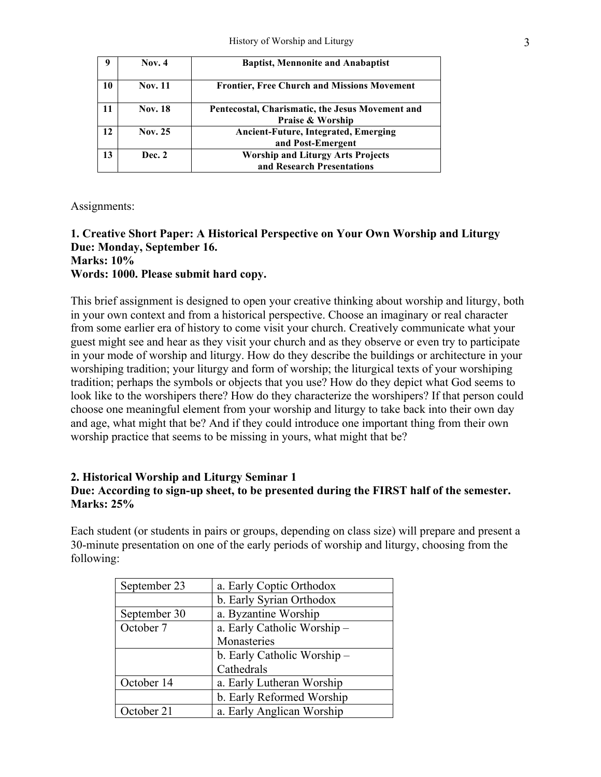|    | Nov. $4$       | <b>Baptist, Mennonite and Anabaptist</b>                                        |
|----|----------------|---------------------------------------------------------------------------------|
| 10 | <b>Nov. 11</b> | <b>Frontier, Free Church and Missions Movement</b>                              |
| 11 | <b>Nov. 18</b> | Pentecostal, Charismatic, the Jesus Movement and<br><b>Praise &amp; Worship</b> |
| 12 | Nov. 25        | <b>Ancient-Future, Integrated, Emerging</b><br>and Post-Emergent                |
| 13 | Dec. 2         | <b>Worship and Liturgy Arts Projects</b><br>and Research Presentations          |

Assignments:

### **1. Creative Short Paper: A Historical Perspective on Your Own Worship and Liturgy Due: Monday, September 16. Marks: 10%**

# **Words: 1000. Please submit hard copy.**

This brief assignment is designed to open your creative thinking about worship and liturgy, both in your own context and from a historical perspective. Choose an imaginary or real character from some earlier era of history to come visit your church. Creatively communicate what your guest might see and hear as they visit your church and as they observe or even try to participate in your mode of worship and liturgy. How do they describe the buildings or architecture in your worshiping tradition; your liturgy and form of worship; the liturgical texts of your worshiping tradition; perhaps the symbols or objects that you use? How do they depict what God seems to look like to the worshipers there? How do they characterize the worshipers? If that person could choose one meaningful element from your worship and liturgy to take back into their own day and age, what might that be? And if they could introduce one important thing from their own worship practice that seems to be missing in yours, what might that be?

## **2. Historical Worship and Liturgy Seminar 1 Due: According to sign-up sheet, to be presented during the FIRST half of the semester. Marks: 25%**

Each student (or students in pairs or groups, depending on class size) will prepare and present a 30-minute presentation on one of the early periods of worship and liturgy, choosing from the following:

| September 23 | a. Early Coptic Orthodox    |
|--------------|-----------------------------|
|              | b. Early Syrian Orthodox    |
| September 30 | a. Byzantine Worship        |
| October 7    | a. Early Catholic Worship - |
|              | Monasteries                 |
|              | b. Early Catholic Worship - |
|              | Cathedrals                  |
| October 14   | a. Early Lutheran Worship   |
|              | b. Early Reformed Worship   |
| October 21   | a. Early Anglican Worship   |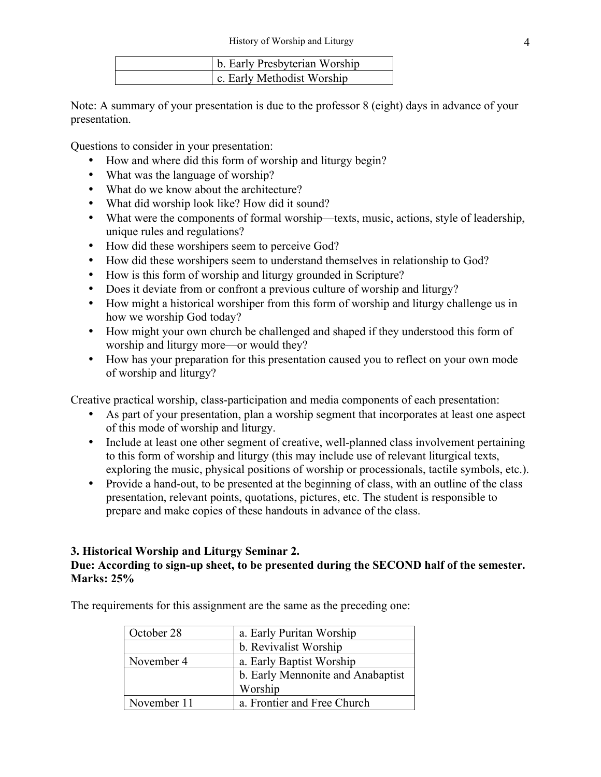| b. Early Presbyterian Worship |
|-------------------------------|
| c. Early Methodist Worship    |

Note: A summary of your presentation is due to the professor 8 (eight) days in advance of your presentation.

Questions to consider in your presentation:

- How and where did this form of worship and liturgy begin?
- What was the language of worship?
- What do we know about the architecture?
- What did worship look like? How did it sound?
- What were the components of formal worship—texts, music, actions, style of leadership, unique rules and regulations?
- How did these worshipers seem to perceive God?
- How did these worshipers seem to understand themselves in relationship to God?
- How is this form of worship and liturgy grounded in Scripture?
- Does it deviate from or confront a previous culture of worship and liturgy?
- How might a historical worshiper from this form of worship and liturgy challenge us in how we worship God today?
- How might your own church be challenged and shaped if they understood this form of worship and liturgy more—or would they?
- How has your preparation for this presentation caused you to reflect on your own mode of worship and liturgy?

Creative practical worship, class-participation and media components of each presentation:

- As part of your presentation, plan a worship segment that incorporates at least one aspect of this mode of worship and liturgy.
- Include at least one other segment of creative, well-planned class involvement pertaining to this form of worship and liturgy (this may include use of relevant liturgical texts, exploring the music, physical positions of worship or processionals, tactile symbols, etc.).
- Provide a hand-out, to be presented at the beginning of class, with an outline of the class presentation, relevant points, quotations, pictures, etc. The student is responsible to prepare and make copies of these handouts in advance of the class.

## **3. Historical Worship and Liturgy Seminar 2.**

## **Due: According to sign-up sheet, to be presented during the SECOND half of the semester. Marks: 25%**

October 28 a. Early Puritan Worship b. Revivalist Worship November 4 a. Early Baptist Worship b. Early Mennonite and Anabaptist Worship November 11 a. Frontier and Free Church

The requirements for this assignment are the same as the preceding one: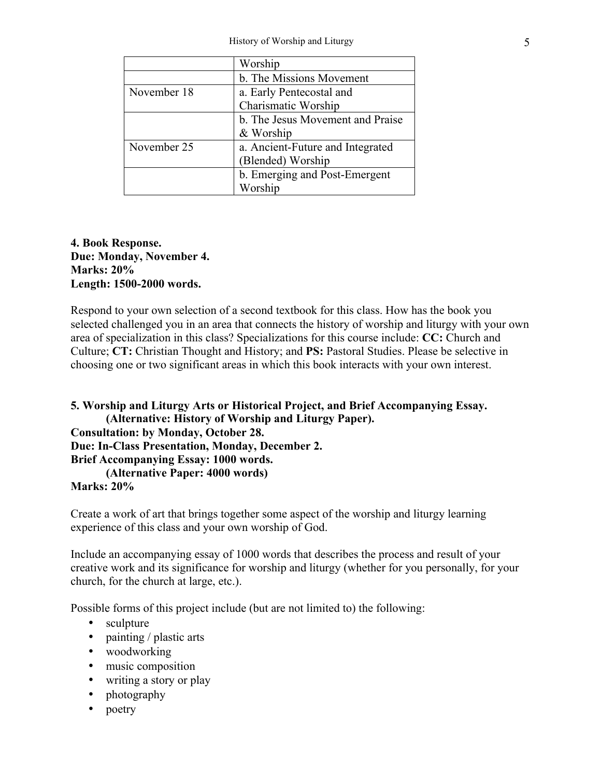|             | Worship                          |
|-------------|----------------------------------|
|             | b. The Missions Movement         |
| November 18 | a. Early Pentecostal and         |
|             | <b>Charismatic Worship</b>       |
|             | b. The Jesus Movement and Praise |
|             | & Worship                        |
| November 25 | a. Ancient-Future and Integrated |
|             | (Blended) Worship                |
|             | b. Emerging and Post-Emergent    |
|             | Worship                          |

## **4. Book Response. Due: Monday, November 4. Marks: 20% Length: 1500-2000 words.**

Respond to your own selection of a second textbook for this class. How has the book you selected challenged you in an area that connects the history of worship and liturgy with your own area of specialization in this class? Specializations for this course include: **CC:** Church and Culture; **CT:** Christian Thought and History; and **PS:** Pastoral Studies. Please be selective in choosing one or two significant areas in which this book interacts with your own interest.

**5. Worship and Liturgy Arts or Historical Project, and Brief Accompanying Essay. (Alternative: History of Worship and Liturgy Paper). Consultation: by Monday, October 28. Due: In-Class Presentation, Monday, December 2. Brief Accompanying Essay: 1000 words. (Alternative Paper: 4000 words) Marks: 20%**

Create a work of art that brings together some aspect of the worship and liturgy learning experience of this class and your own worship of God.

Include an accompanying essay of 1000 words that describes the process and result of your creative work and its significance for worship and liturgy (whether for you personally, for your church, for the church at large, etc.).

Possible forms of this project include (but are not limited to) the following:

- sculpture
- painting / plastic arts
- woodworking
- music composition
- writing a story or play
- photography
- poetry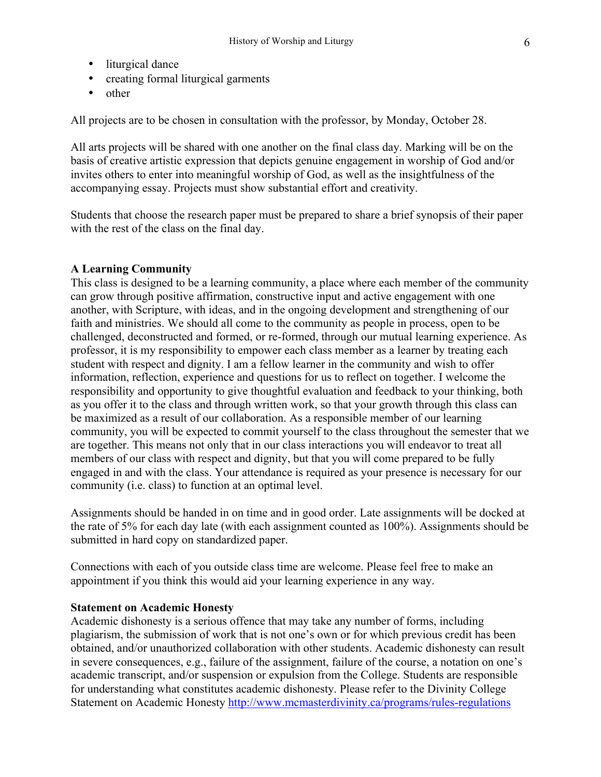- liturgical dance
- creating formal liturgical garments
- other

All projects are to be chosen in consultation with the professor, by Monday, October 28.

All arts projects will be shared with one another on the final class day. Marking will be on the basis of creative artistic expression that depicts genuine engagement in worship of God and/or invites others to enter into meaningful worship of God, as well as the insightfulness of the accompanying essay. Projects must show substantial effort and creativity.

Students that choose the research paper must be prepared to share a brief synopsis of their paper with the rest of the class on the final day.

### **A Learning Community**

This class is designed to be a learning community, a place where each member of the community can grow through positive affirmation, constructive input and active engagement with one another, with Scripture, with ideas, and in the ongoing development and strengthening of our faith and ministries. We should all come to the community as people in process, open to be challenged, deconstructed and formed, or re-formed, through our mutual learning experience. As professor, it is my responsibility to empower each class member as a learner by treating each student with respect and dignity. I am a fellow learner in the community and wish to offer information, reflection, experience and questions for us to reflect on together. I welcome the responsibility and opportunity to give thoughtful evaluation and feedback to your thinking, both as you offer it to the class and through written work, so that your growth through this class can be maximized as a result of our collaboration. As a responsible member of our learning community, you will be expected to commit yourself to the class throughout the semester that we are together. This means not only that in our class interactions you will endeavor to treat all members of our class with respect and dignity, but that you will come prepared to be fully engaged in and with the class. Your attendance is required as your presence is necessary for our community (i.e. class) to function at an optimal level.

Assignments should be handed in on time and in good order. Late assignments will be docked at the rate of 5% for each day late (with each assignment counted as 100%). Assignments should be submitted in hard copy on standardized paper.

Connections with each of you outside class time are welcome. Please feel free to make an appointment if you think this would aid your learning experience in any way.

### **Statement on Academic Honesty**

Academic dishonesty is a serious offence that may take any number of forms, including plagiarism, the submission of work that is not one's own or for which previous credit has been obtained, and/or unauthorized collaboration with other students. Academic dishonesty can result in severe consequences, e.g., failure of the assignment, failure of the course, a notation on one's academic transcript, and/or suspension or expulsion from the College. Students are responsible for understanding what constitutes academic dishonesty. Please refer to the Divinity College Statement on Academic Honesty http://www.mcmasterdivinity.ca/programs/rules-regulations